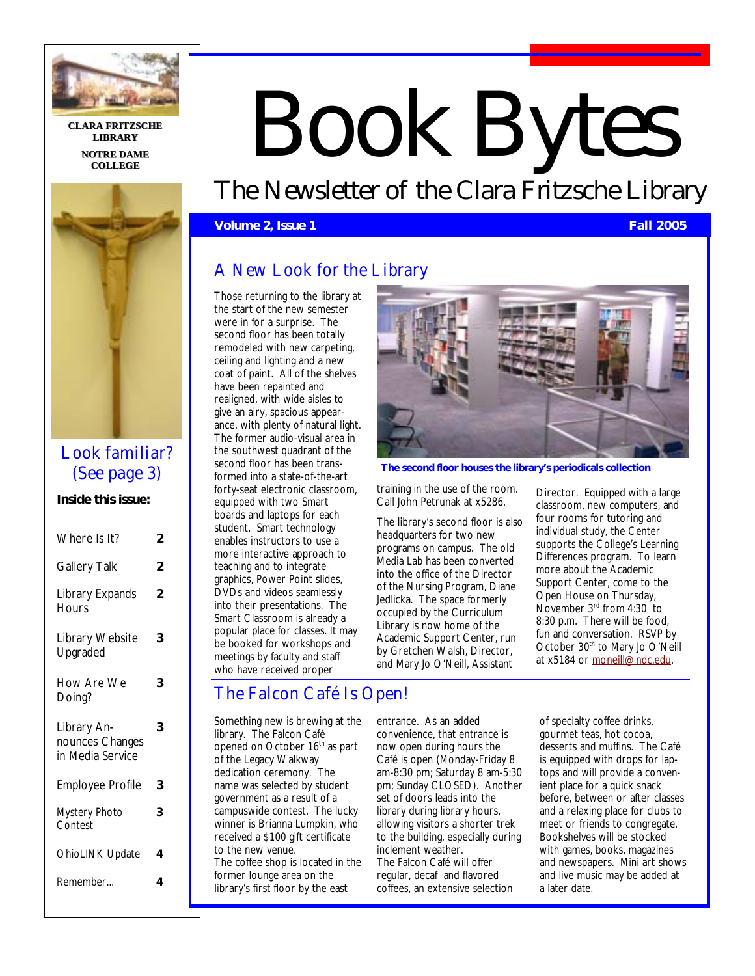

**CLARA FRITZSCHE CLARA FRITZSCHE LIBRARY NOTRE DAME COLLEGE COLLEGE**



## Look familiar? (See page 3)

**Inside this issue:** 

| Where Is It?                        | 2 |
|-------------------------------------|---|
| <b>Gallery Talk</b>                 | 2 |
| Library Expands<br><b>Hours</b>     | 2 |
| Library Website<br>Upgraded         | 3 |
| How Are We<br>Doing?                | 3 |
| Library An-                         | 3 |
| nounces Changes<br>in Media Service |   |
| <b>Employee Profile</b>             | 3 |
| <b>Mystery Photo</b><br>Contest     | 3 |
| <b>OhioLINK Update</b>              | 4 |
| Remember                            | 4 |

# Book Bytes

The Newsletter of the Clara Fritzsche Library

**Volume 2, Issue 1 Fall 2005** 

## A New Look for the Library

Those returning to the library at the start of the new semester were in for a surprise. The second floor has been totally remodeled with new carpeting, ceiling and lighting and a new coat of paint. All of the shelves have been repainted and realigned, with wide aisles to give an airy, spacious appearance, with plenty of natural light. The former audio-visual area in the southwest quadrant of the second floor has been transformed into a state-of-the-art forty-seat electronic classroom, equipped with two Smart boards and laptops for each student. Smart technology enables instructors to use a more interactive approach to teaching and to integrate graphics, Power Point slides, DVDs and videos seamlessly into their presentations. The Smart Classroom is already a popular place for classes. It may be booked for workshops and meetings by faculty and staff who have received proper

# The Falcon Café Is Open!

Something new is brewing at the library. The Falcon Café opened on October 16<sup>th</sup> as part of the Legacy Walkway dedication ceremony. The name was selected by student government as a result of a campuswide contest. The lucky winner is Brianna Lumpkin, who received a \$100 gift certificate to the new venue. The coffee shop is located in the former lounge area on the library's first floor by the east



**The second floor houses the library's periodicals collection** 

training in the use of the room. Call John Petrunak at x5286.

The library's second floor is also headquarters for two new programs on campus. The old Media Lab has been converted into the office of the Director of the Nursing Program, Diane Jedlicka. The space formerly occupied by the Curriculum Library is now home of the Academic Support Center, run by Gretchen Walsh, Director, and Mary Jo O'Neill, Assistant

Director. Equipped with a large classroom, new computers, and four rooms for tutoring and individual study, the Center supports the College's Learning Differences program. To learn more about the Academic Support Center, come to the Open House on Thursday, November 3rd from 4:30 to 8:30 p.m. There will be food, fun and conversation. RSVP by October 30<sup>th</sup> to Mary Jo O'Neill at x5184 or moneill@ndc.edu.

entrance. As an added convenience, that entrance is now open during hours the Café is open (Monday-Friday 8 am-8:30 pm; Saturday 8 am-5:30 pm; Sunday CLOSED). Another set of doors leads into the library during library hours, allowing visitors a shorter trek to the building, especially during inclement weather. The Falcon Café will offer regular, decaf and flavored coffees, an extensive selection

of specialty coffee drinks, gourmet teas, hot cocoa, desserts and muffins. The Café is equipped with drops for laptops and will provide a convenient place for a quick snack before, between or after classes and a relaxing place for clubs to meet or friends to congregate. Bookshelves will be stocked with games, books, magazines and newspapers. Mini art shows and live music may be added at a later date.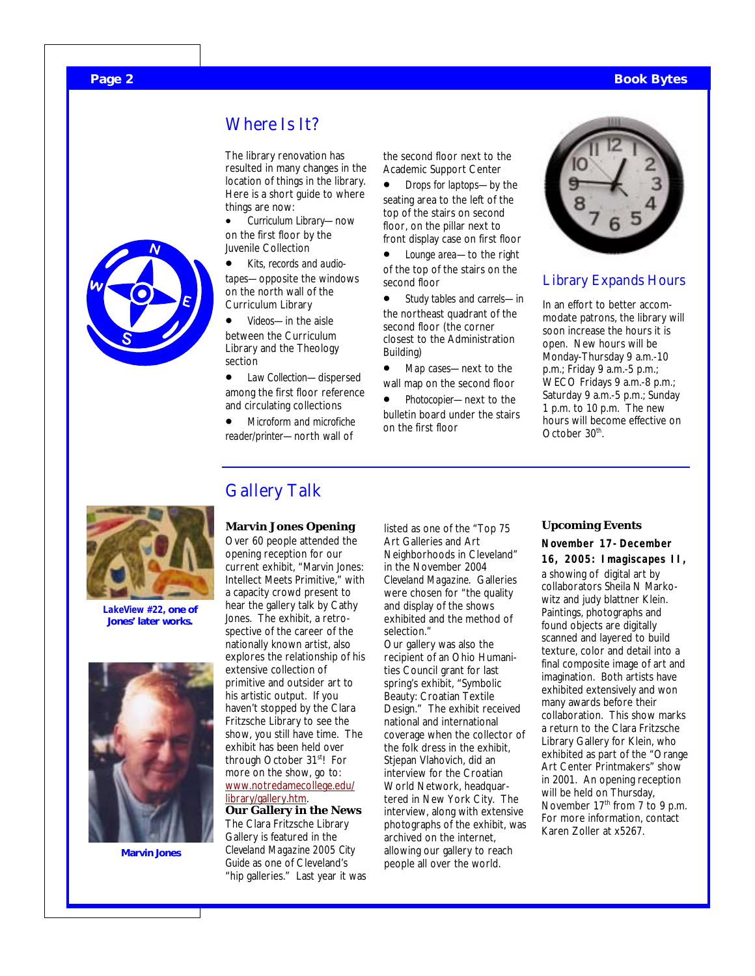#### **Page 2 Book Bytes**



## Where Is It?

The library renovation has resulted in many changes in the location of things in the library. Here is a short guide to where things are now:

- *Curriculum Library*—now on the first floor by the Juvenile Collection
- *Kits, records and audiotapes*—opposite the windows on the north wall of the Curriculum Library
- *Videos*—in the aisle between the Curriculum Library and the Theology section
- *Law Collection*—dispersed among the first floor reference and circulating collections
- *Microform and microfiche reader/printer*—north wall of

the second floor next to the Academic Support Center

• *Drops for laptops*—by the seating area to the left of the top of the stairs on second floor, on the pillar next to front display case on first floor

• *Lounge area*—to the right of the top of the stairs on the second floor

• *Study tables and carrels*—in the northeast quadrant of the second floor (the corner closest to the Administration Building)

• *Map cases*—next to the wall map on the second floor

• *Photocopier*—next to the bulletin board under the stairs on the first floor



#### Library Expands Hours

In an effort to better accommodate patrons, the library will soon increase the hours it is open. New hours will be Monday-Thursday 9 a.m.-10 p.m.; Friday 9 a.m.-5 p.m.; WECO Fridays 9 a.m.-8 p.m.; Saturday 9 a.m.-5 p.m.; Sunday 1 p.m. to 10 p.m. The new hours will become effective on October 30<sup>th</sup>.



*LakeView #22,* **one of Jones' later works.** 



**Marvin Jones** 

## Gallery Talk

**Marvin Jones Opening**  Over 60 people attended the opening reception for our current exhibit, "Marvin Jones: Intellect Meets Primitive," with a capacity crowd present to hear the gallery talk by Cathy Jones. The exhibit, a retrospective of the career of the nationally known artist, also explores the relationship of his extensive collection of primitive and outsider art to his artistic output. If you haven't stopped by the Clara Fritzsche Library to see the show, you still have time. The exhibit has been held over through October 31<sup>st</sup>! For more on the show, go to: www.notredamecollege.edu/ library/gallery.htm.

**Our Gallery in the News**  The Clara Fritzsche Library Gallery is featured in the *Cleveland Magazine 2005 City Guide* as one of Cleveland's "hip galleries." Last year it was

listed as one of the "Top 75 Art Galleries and Art Neighborhoods in Cleveland" in the November 2004 *Cleveland Magazine*. Galleries were chosen for "the quality and display of the shows exhibited and the method of selection." Our gallery was also the recipient of an Ohio Humanities Council grant for last spring's exhibit, "Symbolic Beauty: Croatian Textile Design." The exhibit received national and international coverage when the collector of the folk dress in the exhibit, Stjepan Vlahovich, did an interview for the Croatian World Network, headquartered in New York City. The interview, along with extensive photographs of the exhibit, was archived on the internet, allowing our gallery to reach

people all over the world.

#### **Upcoming Events**

#### **November 17-December**

**16, 2005: Imagiscapes II,** a showing of digital art by collaborators Sheila N Markowitz and judy blattner Klein. Paintings, photographs and found objects are digitally scanned and layered to build texture, color and detail into a final composite image of art and imagination. Both artists have exhibited extensively and won many awards before their collaboration. This show marks a return to the Clara Fritzsche Library Gallery for Klein, who exhibited as part of the "Orange Art Center Printmakers" show in 2001. An opening reception will be held on Thursday, November  $17<sup>th</sup>$  from 7 to 9 p.m. For more information, contact Karen Zoller at x5267.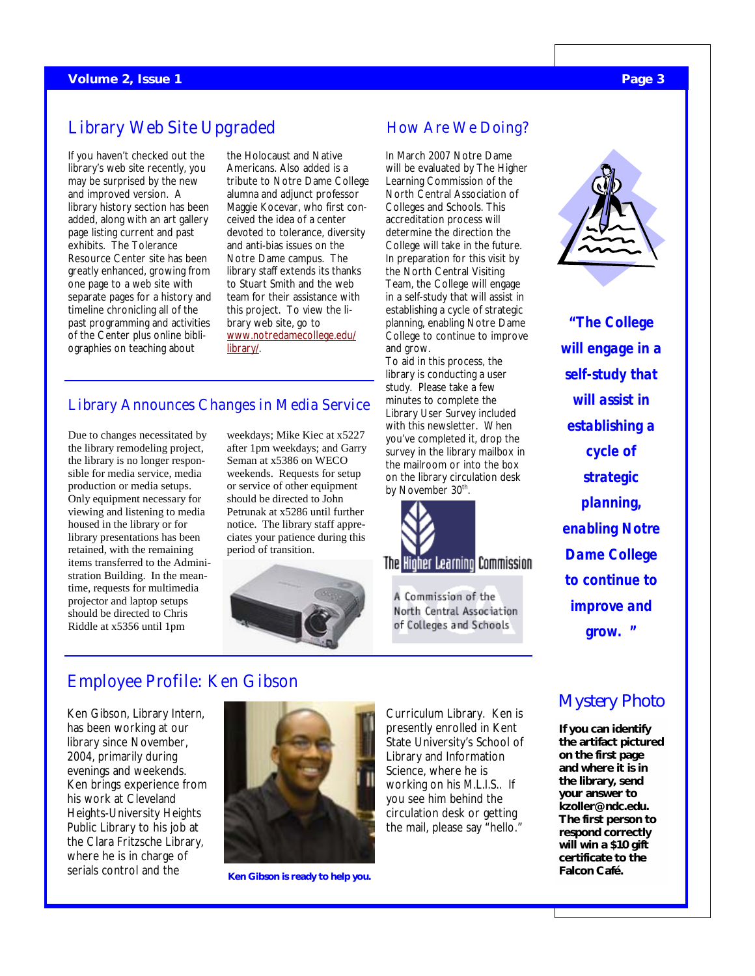## Library Web Site Upgraded

If you haven't checked out the library's web site recently, you may be surprised by the new and improved version. A library history section has been added, along with an art gallery page listing current and past exhibits. The Tolerance Resource Center site has been greatly enhanced, growing from one page to a web site with separate pages for a history and timeline chronicling all of the past programming and activities of the Center plus online bibliographies on teaching about

the Holocaust and Native Americans. Also added is a tribute to Notre Dame College alumna and adjunct professor Maggie Kocevar, who first conceived the idea of a center devoted to tolerance, diversity and anti-bias issues on the Notre Dame campus. The library staff extends its thanks to Stuart Smith and the web team for their assistance with this project. To view the library web site, go to www.notredamecollege.edu/ library/.

## Library Announces Changes in Media Service

Due to changes necessitated by the library remodeling project, the library is no longer responsible for media service, media production or media setups. Only equipment necessary for viewing and listening to media housed in the library or for library presentations has been retained, with the remaining items transferred to the Administration Building. In the meantime, requests for multimedia projector and laptop setups should be directed to Chris Riddle at x5356 until 1pm

weekdays; Mike Kiec at x5227 after 1pm weekdays; and Garry Seman at x5386 on WECO weekends. Requests for setup or service of other equipment should be directed to John Petrunak at x5286 until further notice. The library staff appreciates your patience during this period of transition.



## How Are We Doing?

In March 2007 Notre Dame will be evaluated by The Higher Learning Commission of the North Central Association of Colleges and Schools. This accreditation process will determine the direction the College will take in the future. In preparation for this visit by the North Central Visiting Team, the College will engage in a self-study that will assist in establishing a cycle of strategic planning, enabling Notre Dame College to continue to improve and grow.

To aid in this process, the library is conducting a user study. Please take a few minutes to complete the Library User Survey included with this newsletter. When you've completed it, drop the survey in the library mailbox in the mailroom or into the box on the library circulation desk by November 30<sup>th</sup>.



A Commission of the North Central Association of Colleges and Schools



*"The College will engage in a self-study that will assist in establishing a cycle of strategic planning, enabling Notre Dame College to continue to improve and grow. "* 

## Employee Profile: Ken Gibson

Ken Gibson, Library Intern, has been working at our library since November, 2004, primarily during evenings and weekends. Ken brings experience from his work at Cleveland Heights-University Heights Public Library to his job at the Clara Fritzsche Library, where he is in charge of serials control and the



**Ken Gibson is ready to help you.** 

Curriculum Library. Ken is presently enrolled in Kent State University's School of Library and Information Science, where he is working on his M.L.I.S.. If you see him behind the circulation desk or getting the mail, please say "hello."

## Mystery Photo

**If you can identify the artifact pictured on the first page and where it is in the library, send your answer to kzoller@ndc.edu. The first person to respond correctly will win a \$10 gift certificate to the Falcon Café.**